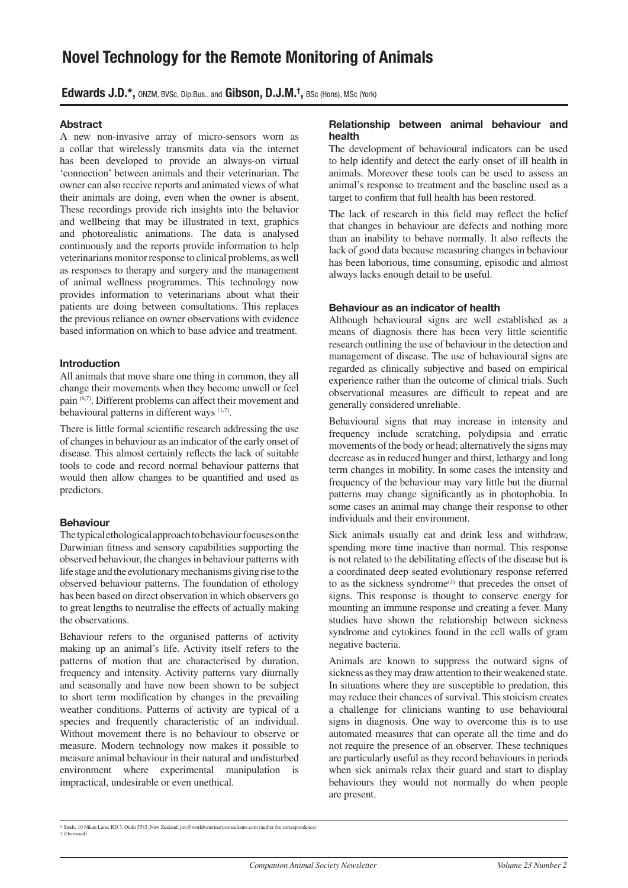# **Novel Technology for the Remote Monitoring of Animals**

**Edwards J.D.\*,** ONZM, BVSc, Dip.Bus., and **Gibson, D.J.M.† ,** BSc (Hons), MSc (York)

# **Abstract**

A new non-invasive array of micro-sensors worn as a collar that wirelessly transmits data via the internet has been developed to provide an always-on virtual 'connection' between animals and their veterinarian. The owner can also receive reports and animated views of what their animals are doing, even when the owner is absent. These recordings provide rich insights into the behavior and wellbeing that may be illustrated in text, graphics and photorealistic animations. The data is analysed continuously and the reports provide information to help veterinarians monitor response to clinical problems, as well as responses to therapy and surgery and the management of animal wellness programmes. This technology now provides information to veterinarians about what their patients are doing between consultations. This replaces the previous reliance on owner observations with evidence based information on which to base advice and treatment.

# **Introduction**

All animals that move share one thing in common, they all change their movements when they become unwell or feel pain  $^{(6,7)}$ . Different problems can affect their movement and behavioural patterns in different ways  $(1,7)$ .

There is little formal scientific research addressing the use of changes in behaviour as an indicator of the early onset of disease. This almost certainly reflects the lack of suitable tools to code and record normal behaviour patterns that would then allow changes to be quantified and used as predictors.

# **Behaviour**

The typical ethological approach to behaviour focuses on the Darwinian fitness and sensory capabilities supporting the observed behaviour, the changes in behaviour patterns with life stage and the evolutionary mechanisms giving rise to the observed behaviour patterns. The foundation of ethology has been based on direct observation in which observers go to great lengths to neutralise the effects of actually making the observations.

Behaviour refers to the organised patterns of activity making up an animal's life. Activity itself refers to the patterns of motion that are characterised by duration, frequency and intensity. Activity patterns vary diurnally and seasonally and have now been shown to be subject to short term modification by changes in the prevailing weather conditions. Patterns of activity are typical of a species and frequently characteristic of an individual. Without movement there is no behaviour to observe or measure. Modern technology now makes it possible to measure animal behaviour in their natural and undisturbed environment where experimental manipulation is impractical, undesirable or even unethical.

## **Relationship between animal behaviour and health**

The development of behavioural indicators can be used to help identify and detect the early onset of ill health in animals. Moreover these tools can be used to assess an animal's response to treatment and the baseline used as a target to confirm that full health has been restored.

The lack of research in this field may reflect the belief that changes in behaviour are defects and nothing more than an inability to behave normally. It also reflects the lack of good data because measuring changes in behaviour has been laborious, time consuming, episodic and almost always lacks enough detail to be useful.

# **Behaviour as an indicator of health**

Although behavioural signs are well established as a means of diagnosis there has been very little scientific research outlining the use of behaviour in the detection and management of disease. The use of behavioural signs are regarded as clinically subjective and based on empirical experience rather than the outcome of clinical trials. Such observational measures are difficult to repeat and are generally considered unreliable.

Behavioural signs that may increase in intensity and frequency include scratching, polydipsia and erratic movements of the body or head; alternatively the signs may decrease as in reduced hunger and thirst, lethargy and long term changes in mobility. In some cases the intensity and frequency of the behaviour may vary little but the diurnal patterns may change significantly as in photophobia. In some cases an animal may change their response to other individuals and their environment.

Sick animals usually eat and drink less and withdraw, spending more time inactive than normal. This response is not related to the debilitating effects of the disease but is a coordinated deep seated evolutionary response referred to as the sickness syndrome<sup>(3)</sup> that precedes the onset of signs. This response is thought to conserve energy for mounting an immune response and creating a fever. Many studies have shown the relationship between sickness syndrome and cytokines found in the cell walls of gram negative bacteria.

Animals are known to suppress the outward signs of sickness as they may draw attention to their weakened state. In situations where they are susceptible to predation, this may reduce their chances of survival. This stoicism creates a challenge for clinicians wanting to use behavioural signs in diagnosis. One way to overcome this is to use automated measures that can operate all the time and do not require the presence of an observer. These techniques are particularly useful as they record behaviours in periods when sick animals relax their guard and start to display behaviours they would not normally do when people are present.

<sup>\*</sup> Studs, 10 Nikau Lane, RD 3, Otaki 5583, New Zealand, jim@worldveterinaryconsultants.com (author for correspondence)  $†$  (Decea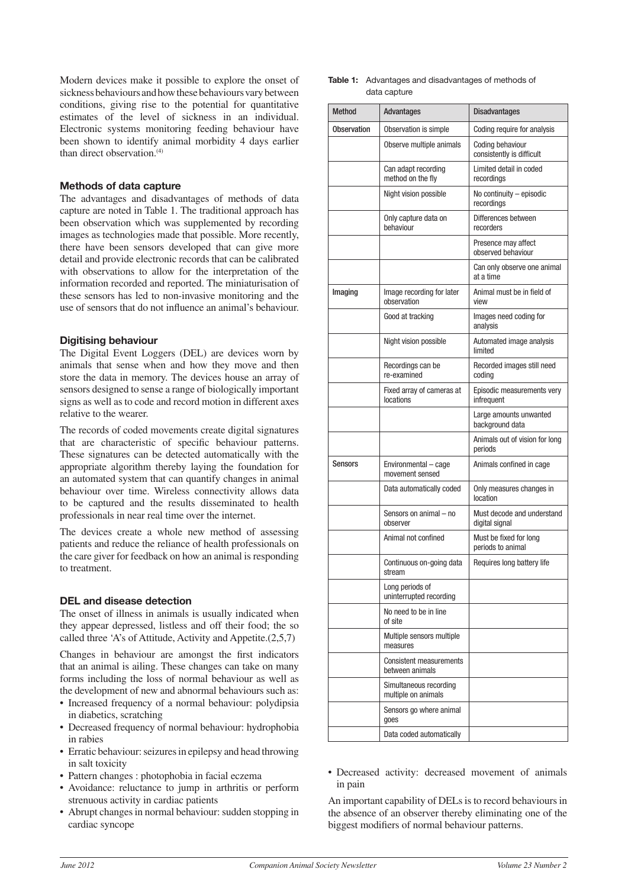Modern devices make it possible to explore the onset of sickness behaviours and how these behaviours vary between conditions, giving rise to the potential for quantitative estimates of the level of sickness in an individual. Electronic systems monitoring feeding behaviour have been shown to identify animal morbidity 4 days earlier than direct observation.<sup>(4)</sup>

# **Methods of data capture**

The advantages and disadvantages of methods of data capture are noted in Table 1. The traditional approach has been observation which was supplemented by recording images as technologies made that possible. More recently, there have been sensors developed that can give more detail and provide electronic records that can be calibrated with observations to allow for the interpretation of the information recorded and reported. The miniaturisation of these sensors has led to non-invasive monitoring and the use of sensors that do not influence an animal's behaviour.

# **Digitising behaviour**

The Digital Event Loggers (DEL) are devices worn by animals that sense when and how they move and then store the data in memory. The devices house an array of sensors designed to sense a range of biologically important signs as well as to code and record motion in different axes relative to the wearer.

The records of coded movements create digital signatures that are characteristic of specific behaviour patterns. These signatures can be detected automatically with the appropriate algorithm thereby laying the foundation for an automated system that can quantify changes in animal behaviour over time. Wireless connectivity allows data to be captured and the results disseminated to health professionals in near real time over the internet.

The devices create a whole new method of assessing patients and reduce the reliance of health professionals on the care giver for feedback on how an animal is responding to treatment.

## **DEL and disease detection**

The onset of illness in animals is usually indicated when they appear depressed, listless and off their food; the so called three 'A's of Attitude, Activity and Appetite.(2,5,7)

Changes in behaviour are amongst the first indicators that an animal is ailing. These changes can take on many forms including the loss of normal behaviour as well as the development of new and abnormal behaviours such as:

- Increased frequency of a normal behaviour: polydipsia in diabetics, scratching
- Decreased frequency of normal behaviour: hydrophobia in rabies
- Erratic behaviour: seizures in epilepsy and head throwing in salt toxicity
- Pattern changes : photophobia in facial eczema
- Avoidance: reluctance to jump in arthritis or perform strenuous activity in cardiac patients
- Abrupt changes in normal behaviour: sudden stopping in cardiac syncope

**Table 1:** Advantages and disadvantages of methods of data capture

| <b>Method</b>      | Advantages                                        | <b>Disadvantages</b>                          |
|--------------------|---------------------------------------------------|-----------------------------------------------|
| <b>Observation</b> | Observation is simple                             | Coding require for analysis                   |
|                    | Observe multiple animals                          | Coding behaviour<br>consistently is difficult |
|                    | Can adapt recording<br>method on the fly          | Limited detail in coded<br>recordinas         |
|                    | Night vision possible                             | No continuity - episodic<br>recordings        |
|                    | Only capture data on<br>hehaviour                 | Differences between<br>recorders              |
|                    |                                                   | Presence may affect<br>observed behaviour     |
|                    |                                                   | Can only observe one animal<br>at a time      |
| Imaging            | Image recording for later<br>observation          | Animal must be in field of<br>view            |
|                    | Good at tracking                                  | Images need coding for<br>analysis            |
|                    | Night vision possible                             | Automated image analysis<br>limited           |
|                    | Recordings can be<br>re-examined                  | Recorded images still need<br>coding          |
|                    | Fixed array of cameras at<br>locations            | Episodic measurements very<br>infrequent      |
|                    |                                                   | Large amounts unwanted<br>background data     |
|                    |                                                   | Animals out of vision for long<br>periods     |
| <b>Sensors</b>     | Environmental - cage<br>movement sensed           | Animals confined in cage                      |
|                    | Data automatically coded                          | Only measures changes in<br>location          |
|                    | Sensors on animal - no<br>observer                | Must decode and understand<br>digital signal  |
|                    | Animal not confined                               | Must be fixed for long<br>periods to animal   |
|                    | Continuous on-going data<br>stream                | Requires long battery life                    |
|                    | Long periods of<br>uninterrupted recording        |                                               |
|                    | No need to be in line<br>of site                  |                                               |
|                    | Multiple sensors multiple<br>measures             |                                               |
|                    | <b>Consistent measurements</b><br>between animals |                                               |
|                    | Simultaneous recording<br>multiple on animals     |                                               |
|                    | Sensors go where animal<br>goes                   |                                               |
|                    | Data coded automatically                          |                                               |

• Decreased activity: decreased movement of animals in pain

An important capability of DELs is to record behaviours in the absence of an observer thereby eliminating one of the biggest modifiers of normal behaviour patterns.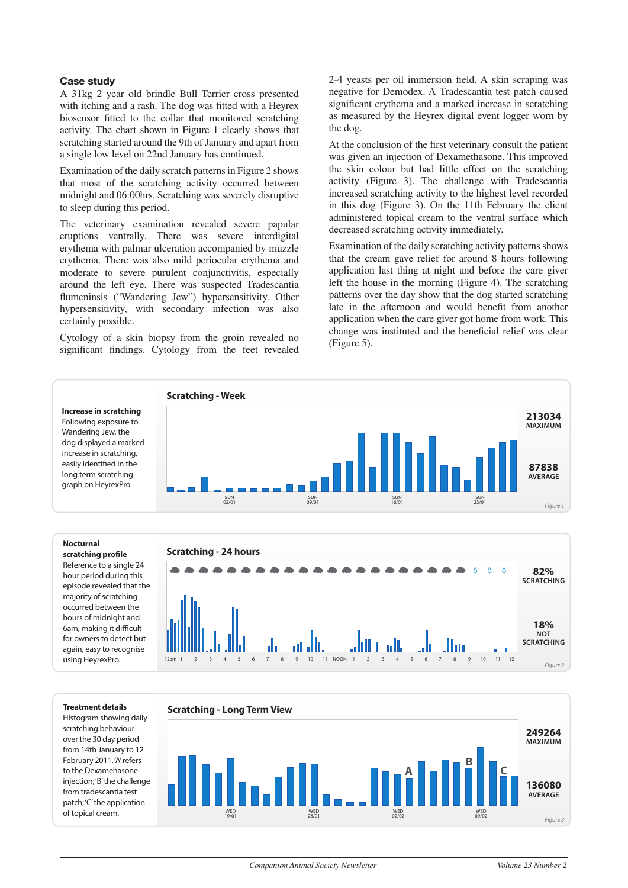### **Case study**

A 31kg 2 year old brindle Bull Terrier cross presented with itching and a rash. The dog was fitted with a Heyrex biosensor fitted to the collar that monitored scratching activity. The chart shown in Figure 1 clearly shows that scratching started around the 9th of January and apart from a single low level on 22nd January has continued.

Examination of the daily scratch patterns in Figure 2 shows that most of the scratching activity occurred between midnight and 06:00hrs. Scratching was severely disruptive to sleep during this period.

The veterinary examination revealed severe papular eruptions ventrally. There was severe interdigital erythema with palmar ulceration accompanied by muzzle erythema. There was also mild periocular erythema and moderate to severe purulent conjunctivitis, especially around the left eye. There was suspected Tradescantia flumeninsis ("Wandering Jew") hypersensitivity. Other hypersensitivity, with secondary infection was also certainly possible.

Cytology of a skin biopsy from the groin revealed no significant findings. Cytology from the feet revealed 2-4 yeasts per oil immersion field. A skin scraping was negative for Demodex. A Tradescantia test patch caused significant erythema and a marked increase in scratching as measured by the Heyrex digital event logger worn by the dog.

At the conclusion of the first veterinary consult the patient was given an injection of Dexamethasone. This improved the skin colour but had little effect on the scratching activity (Figure 3). The challenge with Tradescantia increased scratching activity to the highest level recorded in this dog (Figure 3). On the 11th February the client administered topical cream to the ventral surface which decreased scratching activity immediately.

Examination of the daily scratching activity patterns shows that the cream gave relief for around 8 hours following application last thing at night and before the care giver left the house in the morning (Figure 4). The scratching patterns over the day show that the dog started scratching late in the afternoon and would benefit from another application when the care giver got home from work. This change was instituted and the beneficial relief was clear (Figure 5).



#### **Nocturnal**

scratching profile Reference to a single 24 hour period during this episode revealed that the majority of scratching occurred between the hours of midnight and 6am, making it difficult for owners to detect but again, easy to recognise using HeyrexPro.



#### **Treatment details**

Histogram showing daily scratching behaviour over the 30 day period from 14th January to 12 February 2011. 'A' refers to the Dexamehasone injection; 'B' the challenge from tradescantia test patch; 'C' the application of topical cream.